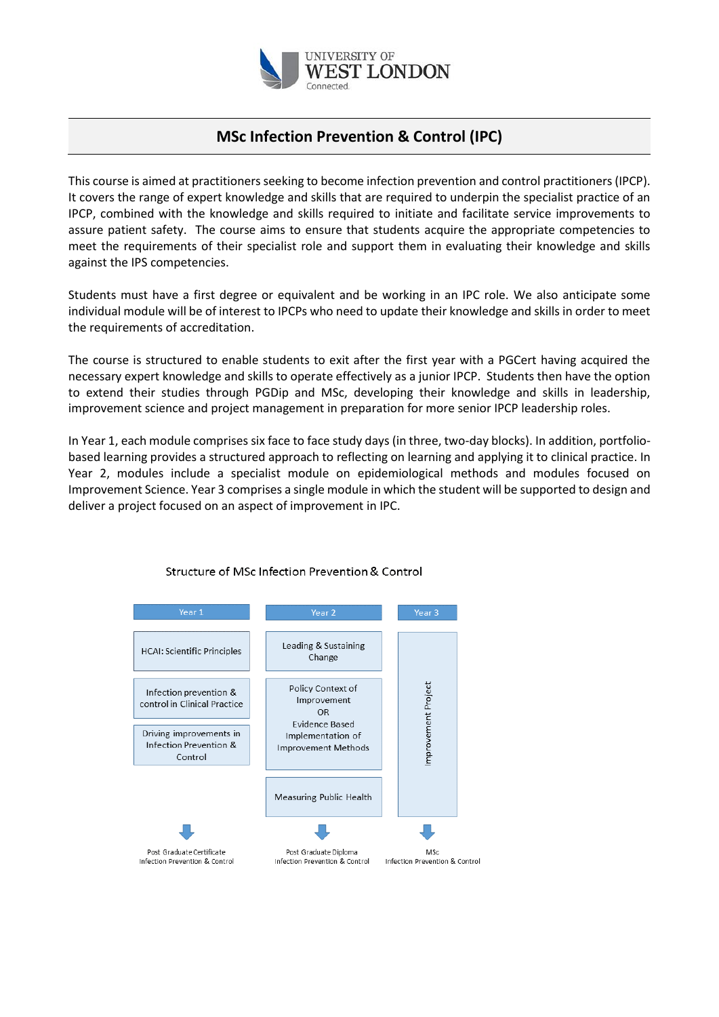

# **MSc Infection Prevention & Control (IPC)**

This course is aimed at practitioners seeking to become infection prevention and control practitioners (IPCP). It covers the range of expert knowledge and skills that are required to underpin the specialist practice of an IPCP, combined with the knowledge and skills required to initiate and facilitate service improvements to assure patient safety. The course aims to ensure that students acquire the appropriate competencies to meet the requirements of their specialist role and support them in evaluating their knowledge and skills against the IPS competencies.

Students must have a first degree or equivalent and be working in an IPC role. We also anticipate some individual module will be of interest to IPCPs who need to update their knowledge and skills in order to meet the requirements of accreditation.

The course is structured to enable students to exit after the first year with a PGCert having acquired the necessary expert knowledge and skills to operate effectively as a junior IPCP. Students then have the option to extend their studies through PGDip and MSc, developing their knowledge and skills in leadership, improvement science and project management in preparation for more senior IPCP leadership roles.

In Year 1, each module comprises six face to face study days (in three, two-day blocks). In addition, portfoliobased learning provides a structured approach to reflecting on learning and applying it to clinical practice. In Year 2, modules include a specialist module on epidemiological methods and modules focused on Improvement Science. Year 3 comprises a single module in which the student will be supported to design and deliver a project focused on an aspect of improvement in IPC.



## Structure of MSc Infection Prevention & Control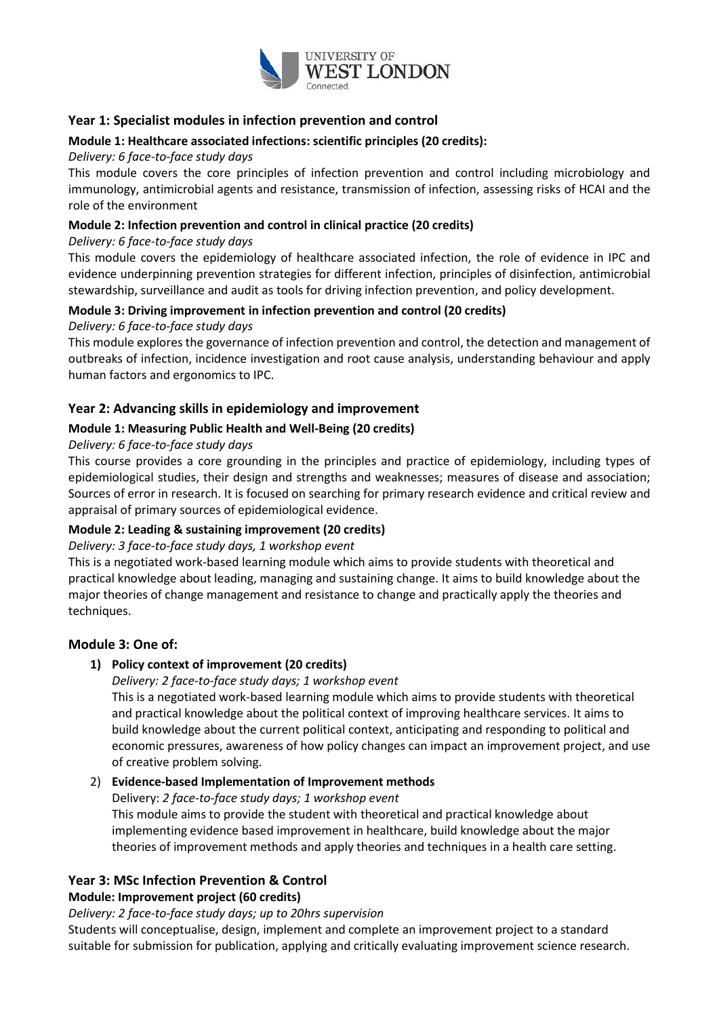

## **Year 1: Specialist modules in infection prevention and control**

#### **Module 1: Healthcare associated infections: scientific principles (20 credits):**

#### *Delivery: 6 face-to-face study days*

This module covers the core principles of infection prevention and control including microbiology and immunology, antimicrobial agents and resistance, transmission of infection, assessing risks of HCAI and the role of the environment

#### **Module 2: Infection prevention and control in clinical practice (20 credits)**

#### *Delivery: 6 face-to-face study days*

This module covers the epidemiology of healthcare associated infection, the role of evidence in IPC and evidence underpinning prevention strategies for different infection, principles of disinfection, antimicrobial stewardship, surveillance and audit as tools for driving infection prevention, and policy development.

## **Module 3: Driving improvement in infection prevention and control (20 credits)**

#### *Delivery: 6 face-to-face study days*

This module explores the governance of infection prevention and control, the detection and management of outbreaks of infection, incidence investigation and root cause analysis, understanding behaviour and apply human factors and ergonomics to IPC.

## **Year 2: Advancing skills in epidemiology and improvement**

#### **Module 1: Measuring Public Health and Well-Being (20 credits)**

## *Delivery: 6 face-to-face study days*

This course provides a core grounding in the principles and practice of epidemiology, including types of epidemiological studies, their design and strengths and weaknesses; measures of disease and association; Sources of error in research. It is focused on searching for primary research evidence and critical review and appraisal of primary sources of epidemiological evidence.

## **Module 2: Leading & sustaining improvement (20 credits)**

## *Delivery: 3 face-to-face study days, 1 workshop event*

This is a negotiated work-based learning module which aims to provide students with theoretical and practical knowledge about leading, managing and sustaining change. It aims to build knowledge about the major theories of change management and resistance to change and practically apply the theories and techniques.

## **Module 3: One of:**

## **1) Policy context of improvement (20 credits)**

*Delivery: 2 face-to-face study days; 1 workshop event* This is a negotiated work-based learning module which aims to provide students with theoretical and practical knowledge about the political context of improving healthcare services. It aims to build knowledge about the current political context, anticipating and responding to political and economic pressures, awareness of how policy changes can impact an improvement project, and use of creative problem solving.

#### 2) **Evidence-based Implementation of Improvement methods**

Delivery: *2 face-to-face study days; 1 workshop event* This module aims to provide the student with theoretical and practical knowledge about implementing evidence based improvement in healthcare, build knowledge about the major theories of improvement methods and apply theories and techniques in a health care setting.

## **Year 3: MSc Infection Prevention & Control**

## **Module: Improvement project (60 credits)**

*Delivery: 2 face-to-face study days; up to 20hrs supervision*

Students will conceptualise, design, implement and complete an improvement project to a standard suitable for submission for publication, applying and critically evaluating improvement science research.